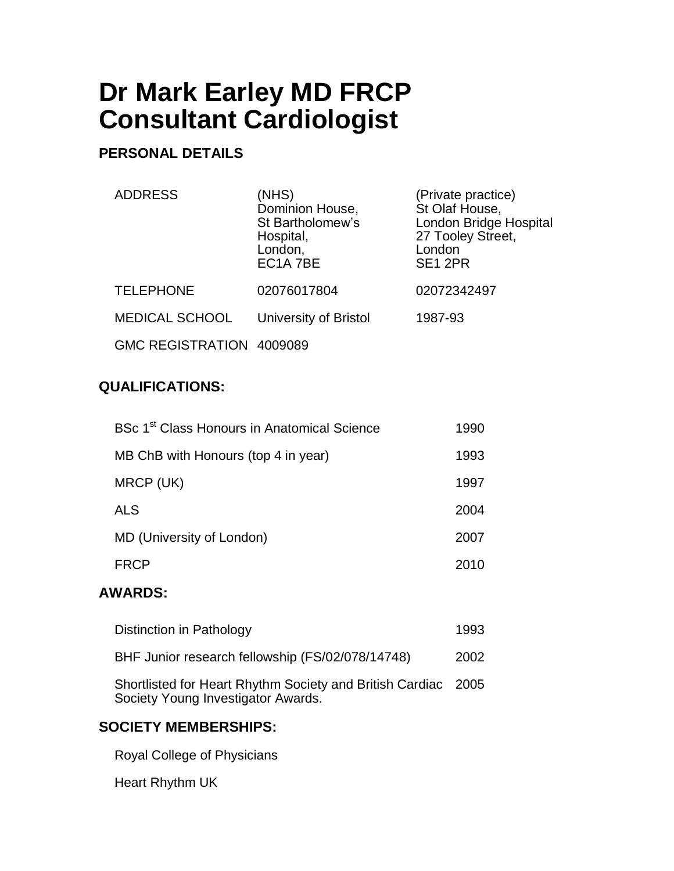# **Dr Mark Earley MD FRCP Consultant Cardiologist**

# **PERSONAL DETAILS**

| <b>ADDRESS</b>          | (NHS)<br>Dominion House,<br>St Bartholomew's<br>Hospital,<br>London,<br>EC1A 7BE | (Private practice)<br>St Olaf House,<br>London Bridge Hospital<br>27 Tooley Street,<br>London<br>SE <sub>1</sub> 2PR |
|-------------------------|----------------------------------------------------------------------------------|----------------------------------------------------------------------------------------------------------------------|
| <b>TELEPHONE</b>        | 02076017804                                                                      | 02072342497                                                                                                          |
| <b>MEDICAL SCHOOL</b>   | University of Bristol                                                            | 1987-93                                                                                                              |
| <b>GMC REGISTRATION</b> | 4009089                                                                          |                                                                                                                      |

## **QUALIFICATIONS:**

| BSc 1 <sup>st</sup> Class Honours in Anatomical Science | 1990 |
|---------------------------------------------------------|------|
| MB ChB with Honours (top 4 in year)                     | 1993 |
| MRCP (UK)                                               | 1997 |
| <b>ALS</b>                                              | 2004 |
| MD (University of London)                               | 2007 |
| <b>FRCP</b>                                             | 2010 |

#### **AWARDS:**

| Distinction in Pathology                                                                            | 1993 |
|-----------------------------------------------------------------------------------------------------|------|
| BHF Junior research fellowship (FS/02/078/14748)                                                    | 2002 |
| Shortlisted for Heart Rhythm Society and British Cardiac 2005<br>Society Young Investigator Awards. |      |

# **SOCIETY MEMBERSHIPS:**

Royal College of Physicians

Heart Rhythm UK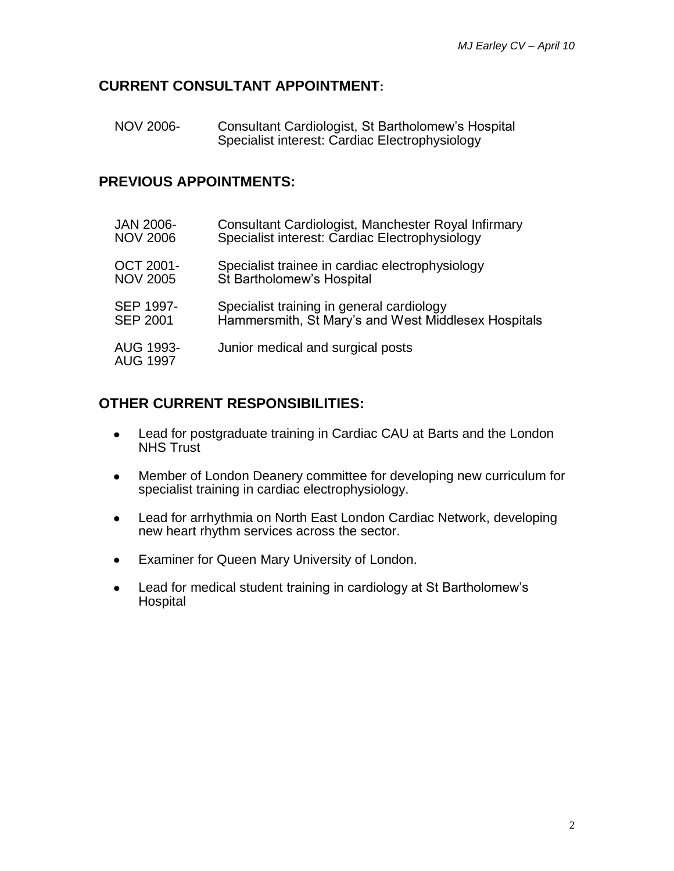#### **CURRENT CONSULTANT APPOINTMENT:**

NOV 2006- Consultant Cardiologist, St Bartholomew's Hospital Specialist interest: Cardiac Electrophysiology

#### **PREVIOUS APPOINTMENTS:**

| <b>JAN 2006-</b>             | Consultant Cardiologist, Manchester Royal Infirmary |
|------------------------------|-----------------------------------------------------|
| <b>NOV 2006</b>              | Specialist interest: Cardiac Electrophysiology      |
| <b>OCT 2001-</b>             | Specialist trainee in cardiac electrophysiology     |
| <b>NOV 2005</b>              | St Bartholomew's Hospital                           |
| SEP 1997-                    | Specialist training in general cardiology           |
| <b>SEP 2001</b>              | Hammersmith, St Mary's and West Middlesex Hospitals |
| AUG 1993-<br><b>AUG 1997</b> | Junior medical and surgical posts                   |

#### **OTHER CURRENT RESPONSIBILITIES:**

- Lead for postgraduate training in Cardiac CAU at Barts and the London  $\bullet$ NHS Trust
- Member of London Deanery committee for developing new curriculum for  $\bullet$ specialist training in cardiac electrophysiology.
- Lead for arrhythmia on North East London Cardiac Network, developing  $\bullet$ new heart rhythm services across the sector.
- Examiner for Queen Mary University of London.
- Lead for medical student training in cardiology at St Bartholomew's  $\bullet$ **Hospital**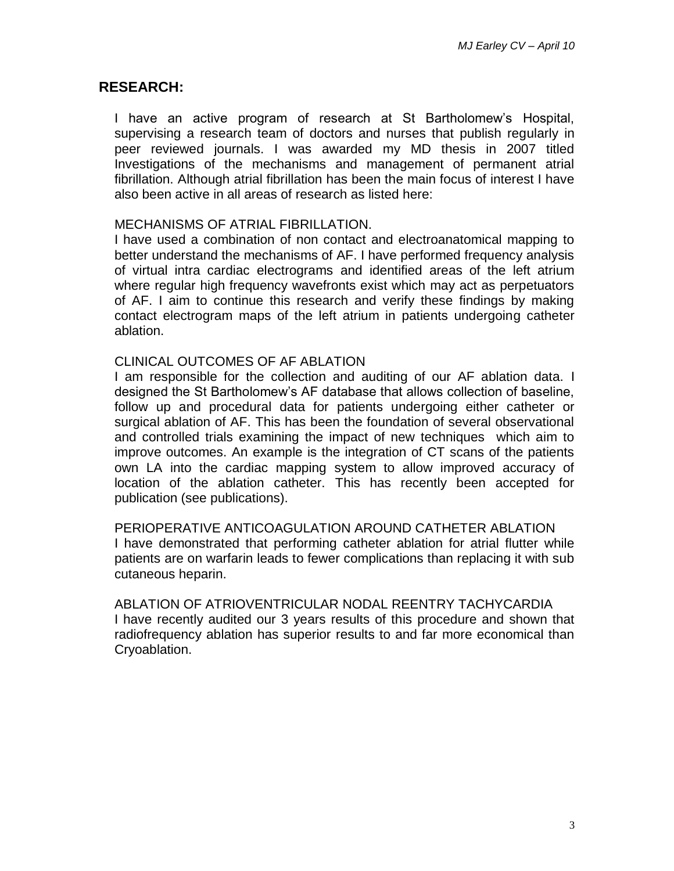#### **RESEARCH:**

I have an active program of research at St Bartholomew's Hospital, supervising a research team of doctors and nurses that publish regularly in peer reviewed journals. I was awarded my MD thesis in 2007 titled Investigations of the mechanisms and management of permanent atrial fibrillation. Although atrial fibrillation has been the main focus of interest I have also been active in all areas of research as listed here:

#### MECHANISMS OF ATRIAL FIBRILLATION.

I have used a combination of non contact and electroanatomical mapping to better understand the mechanisms of AF. I have performed frequency analysis of virtual intra cardiac electrograms and identified areas of the left atrium where regular high frequency wavefronts exist which may act as perpetuators of AF. I aim to continue this research and verify these findings by making contact electrogram maps of the left atrium in patients undergoing catheter ablation.

#### CLINICAL OUTCOMES OF AF ABLATION

I am responsible for the collection and auditing of our AF ablation data. I designed the St Bartholomew's AF database that allows collection of baseline, follow up and procedural data for patients undergoing either catheter or surgical ablation of AF. This has been the foundation of several observational and controlled trials examining the impact of new techniques which aim to improve outcomes. An example is the integration of CT scans of the patients own LA into the cardiac mapping system to allow improved accuracy of location of the ablation catheter. This has recently been accepted for publication (see publications).

PERIOPERATIVE ANTICOAGULATION AROUND CATHETER ABLATION I have demonstrated that performing catheter ablation for atrial flutter while patients are on warfarin leads to fewer complications than replacing it with sub cutaneous heparin.

ABLATION OF ATRIOVENTRICULAR NODAL REENTRY TACHYCARDIA I have recently audited our 3 years results of this procedure and shown that radiofrequency ablation has superior results to and far more economical than Cryoablation.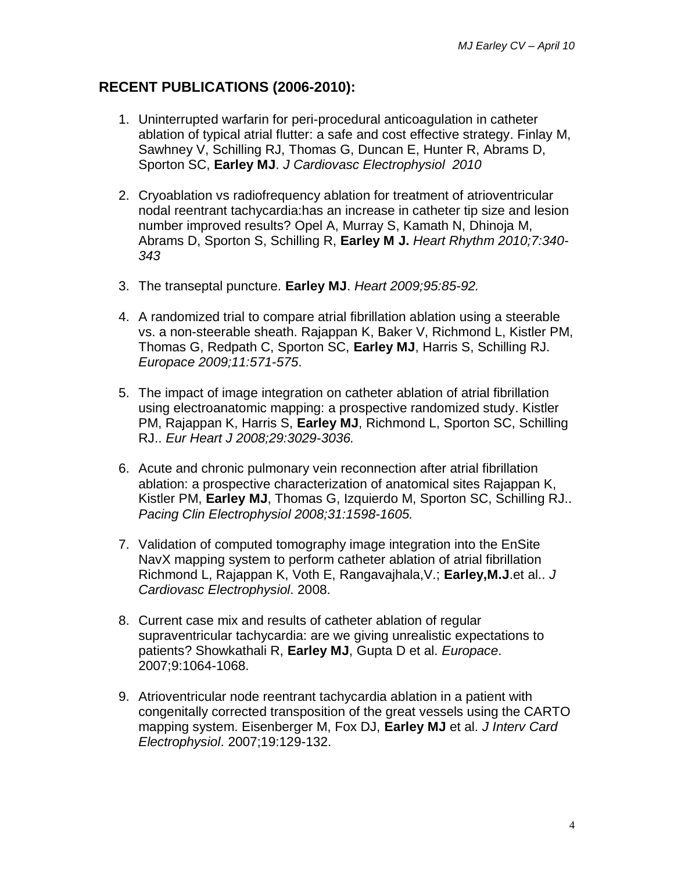### **RECENT PUBLICATIONS (2006-2010):**

- 1. Uninterrupted warfarin for peri-procedural anticoagulation in catheter ablation of typical atrial flutter: a safe and cost effective strategy. Finlay M, Sawhney V, Schilling RJ, Thomas G, Duncan E, Hunter R, Abrams D, Sporton SC, **Earley MJ**. *J Cardiovasc Electrophysiol 2010*
- 2. Cryoablation vs radiofrequency ablation for treatment of atrioventricular nodal reentrant tachycardia:has an increase in catheter tip size and lesion number improved results? Opel A, Murray S, Kamath N, Dhinoja M, Abrams D, Sporton S, Schilling R, **Earley M J.** *Heart Rhythm 2010;7:340- 343*
- 3. The transeptal puncture. **Earley MJ**. *Heart 2009;95:85-92.*
- 4. A randomized trial to compare atrial fibrillation ablation using a steerable vs. a non-steerable sheath. Rajappan K, Baker V, Richmond L, Kistler PM, Thomas G, Redpath C, Sporton SC, **Earley MJ**, Harris S, Schilling RJ. *Europace 2009;11:571-575*.
- 5. The impact of image integration on catheter ablation of atrial fibrillation using electroanatomic mapping: a prospective randomized study. Kistler PM, Rajappan K, Harris S, **Earley MJ**, Richmond L, Sporton SC, Schilling RJ.. *Eur Heart J 2008;29:3029-3036.*
- 6. Acute and chronic pulmonary vein reconnection after atrial fibrillation ablation: a prospective characterization of anatomical sites Rajappan K, Kistler PM, **Earley MJ**, Thomas G, Izquierdo M, Sporton SC, Schilling RJ.. *Pacing Clin Electrophysiol 2008;31:1598-1605.*
- 7. Validation of computed tomography image integration into the EnSite NavX mapping system to perform catheter ablation of atrial fibrillation Richmond L, Rajappan K, Voth E, Rangavajhala,V.; **Earley,M.J**.et al.. *J Cardiovasc Electrophysiol*. 2008.
- 8. Current case mix and results of catheter ablation of regular supraventricular tachycardia: are we giving unrealistic expectations to patients? Showkathali R, **Earley MJ**, Gupta D et al. *Europace*. 2007;9:1064-1068.
- 9. Atrioventricular node reentrant tachycardia ablation in a patient with congenitally corrected transposition of the great vessels using the CARTO mapping system. Eisenberger M, Fox DJ, **Earley MJ** et al. *J Interv Card Electrophysiol*. 2007;19:129-132.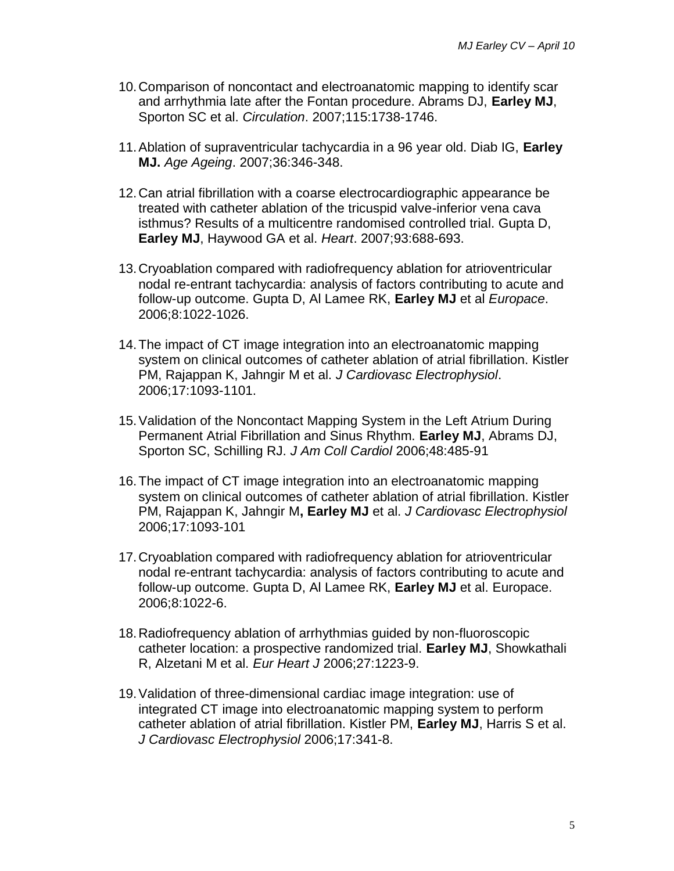- 10.Comparison of noncontact and electroanatomic mapping to identify scar and arrhythmia late after the Fontan procedure. Abrams DJ, **Earley MJ**, Sporton SC et al. *Circulation*. 2007;115:1738-1746.
- 11.Ablation of supraventricular tachycardia in a 96 year old. Diab IG, **Earley MJ.** *Age Ageing*. 2007;36:346-348.
- 12.Can atrial fibrillation with a coarse electrocardiographic appearance be treated with catheter ablation of the tricuspid valve-inferior vena cava isthmus? Results of a multicentre randomised controlled trial. Gupta D, **Earley MJ**, Haywood GA et al. *Heart*. 2007;93:688-693.
- 13.Cryoablation compared with radiofrequency ablation for atrioventricular nodal re-entrant tachycardia: analysis of factors contributing to acute and follow-up outcome. Gupta D, Al Lamee RK, **Earley MJ** et al *Europace*. 2006;8:1022-1026.
- 14.The impact of CT image integration into an electroanatomic mapping system on clinical outcomes of catheter ablation of atrial fibrillation. Kistler PM, Rajappan K, Jahngir M et al. *J Cardiovasc Electrophysiol*. 2006;17:1093-1101.
- 15.Validation of the Noncontact Mapping System in the Left Atrium During Permanent Atrial Fibrillation and Sinus Rhythm. **Earley MJ**, Abrams DJ, Sporton SC, Schilling RJ. *J Am Coll Cardiol* 2006;48:485-91
- 16.The impact of CT image integration into an electroanatomic mapping system on clinical outcomes of catheter ablation of atrial fibrillation. Kistler PM, Rajappan K, Jahngir M**, Earley MJ** et al. *J Cardiovasc Electrophysiol* 2006;17:1093-101
- 17.Cryoablation compared with radiofrequency ablation for atrioventricular nodal re-entrant tachycardia: analysis of factors contributing to acute and follow-up outcome. Gupta D, Al Lamee RK, **Earley MJ** et al. Europace. 2006;8:1022-6.
- 18.Radiofrequency ablation of arrhythmias guided by non-fluoroscopic catheter location: a prospective randomized trial. **Earley MJ**, Showkathali R, Alzetani M et al. *Eur Heart J* 2006;27:1223-9.
- 19.Validation of three-dimensional cardiac image integration: use of integrated CT image into electroanatomic mapping system to perform catheter ablation of atrial fibrillation. Kistler PM, **Earley MJ**, Harris S et al. *J Cardiovasc Electrophysiol* 2006;17:341-8.